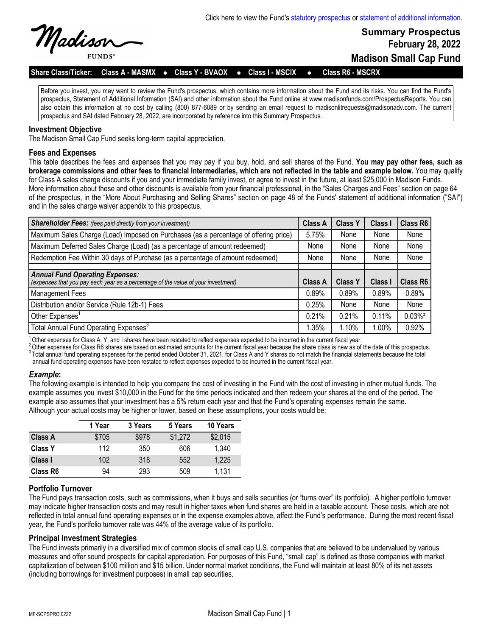

**Summary Prospectus February 28, 2022 Madison Small Cap Fund**

**Share Class/Ticker: Class A - MASMX** l **Class Y - BVAOX** l **Class I - MSCIX** l **Class R6 - MSCRX**

Before you invest, you may want to review the Fund's prospectus, which contains more information about the Fund and its risks. You can find the Fund's prospectus, Statement of Additional Information (SAI) and other information about the Fund online at www.madisonfunds.com/ProspectusReports. You can also obtain this information at no cost by calling (800) 877-6089 or by sending an email request to madisonlitrequests@madisonadv.com. The current prospectus and SAI dated February 28, 2022, are incorporated by reference into this Summary Prospectus.

#### **Investment Objective**

The Madison Small Cap Fund seeks long-term capital appreciation.

### **Fees and Expenses**

This table describes the fees and expenses that you may pay if you buy, hold, and sell shares of the Fund. **You may pay other fees, such as brokerage commissions and other fees to financial intermediaries, which are not reflected in the table and example below.** You may qualify for Class A sales charge discounts if you and your immediate family invest, or agree to invest in the future, at least \$25,000 in Madison Funds. More information about these and other discounts is available from your financial professional, in the "Sales Charges and Fees" section on page 64 of the prospectus, in the "More About Purchasing and Selling Shares" section on page 48 of the Funds' statement of additional information ("SAI") and in the sales charge waiver appendix to this prospectus.

| <b>Shareholder Fees:</b> (fees paid directly from your investment)                   | <b>Class A</b> | <b>Class Y</b> | Class I | Class R6              |
|--------------------------------------------------------------------------------------|----------------|----------------|---------|-----------------------|
| Maximum Sales Charge (Load) Imposed on Purchases (as a percentage of offering price) | 5.75%          | None           | None    | None                  |
| Maximum Deferred Sales Charge (Load) (as a percentage of amount redeemed)            | None           | None           | None    | None                  |
| Redemption Fee Within 30 days of Purchase (as a percentage of amount redeemed)       | None           | None           | None    | None                  |
| <b>Annual Fund Operating Expenses:</b>                                               |                |                |         |                       |
| (expenses that you pay each year as a percentage of the value of your investment)    | Class A        | <b>Class Y</b> | Class I | Class R6              |
| Management Fees                                                                      | 0.89%          | 0.89%          | 0.89%   | 0.89%                 |
| Distribution and/or Service (Rule 12b-1) Fees                                        | 0.25%          | None           | None    | None                  |
| Other Expenses <sup>1</sup>                                                          | 0.21%          | 0.21%          | 0.11%   | $0.03\%$ <sup>2</sup> |
| Total Annual Fund Operating Expenses <sup>3</sup>                                    | 1.35%          | 1.10%          | $.00\%$ | 0.92%                 |

 $^1$  Other expenses for Class A, Y, and I shares have been restated to reflect expenses expected to be incurred in the current fiscal year.

<sup>2</sup>Other expenses for Class R6 shares are based on estimated amounts for the current fiscal year because the share class is new as of the date of this prospectus. 3 Total annual fund operating expenses for the period ended October 31, 2021, for Class A and Y shares do not match the financial statements because the total annual fund operating expenses have been restated to reflect expenses expected to be incurred in the current fiscal year.

### *Example***:**

The following example is intended to help you compare the cost of investing in the Fund with the cost of investing in other mutual funds. The example assumes you invest \$10,000 in the Fund for the time periods indicated and then redeem your shares at the end of the period. The example also assumes that your investment has a 5% return each year and that the Fund's operating expenses remain the same. Although your actual costs may be higher or lower, based on these assumptions, your costs would be:

|                | 1 Year | 3 Years | 5 Years | 10 Years |
|----------------|--------|---------|---------|----------|
| <b>Class A</b> | \$705  | \$978   | \$1,272 | \$2,015  |
| <b>Class Y</b> | 112    | 350     | 606     | 1,340    |
| Class I        | 102    | 318     | 552     | 1,225    |
| Class R6       | 94     | 293     | 509     | 1,131    |

### **Portfolio Turnover**

The Fund pays transaction costs, such as commissions, when it buys and sells securities (or "turns over" its portfolio). A higher portfolio turnover may indicate higher transaction costs and may result in higher taxes when fund shares are held in a taxable account. These costs, which are not reflected in total annual fund operating expenses or in the expense examples above, affect the Fund's performance. During the most recent fiscal year, the Fund's portfolio turnover rate was 44% of the average value of its portfolio.

### **Principal Investment Strategies**

The Fund invests primarily in a diversified mix of common stocks of small cap U.S. companies that are believed to be undervalued by various measures and offer sound prospects for capital appreciation. For purposes of this Fund, "small cap" is defined as those companies with market capitalization of between \$100 million and \$15 billion. Under normal market conditions, the Fund will maintain at least 80% of its net assets (including borrowings for investment purposes) in small cap securities.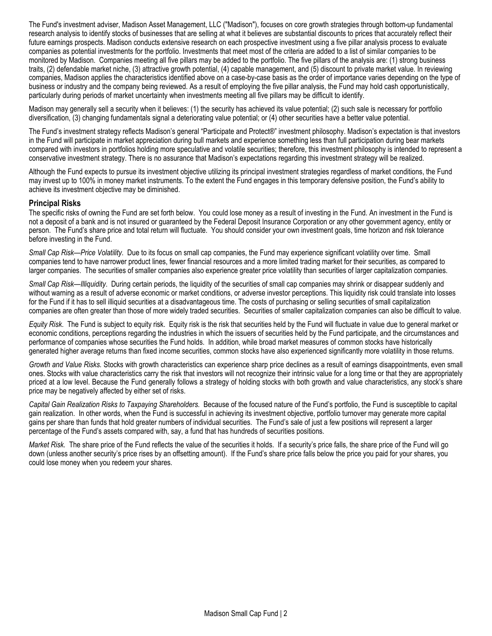The Fund's investment adviser, Madison Asset Management, LLC ("Madison"), focuses on core growth strategies through bottom-up fundamental research analysis to identify stocks of businesses that are selling at what it believes are substantial discounts to prices that accurately reflect their future earnings prospects. Madison conducts extensive research on each prospective investment using a five pillar analysis process to evaluate companies as potential investments for the portfolio. Investments that meet most of the criteria are added to a list of similar companies to be monitored by Madison. Companies meeting all five pillars may be added to the portfolio. The five pillars of the analysis are: (1) strong business traits, (2) defendable market niche, (3) attractive growth potential, (4) capable management, and (5) discount to private market value. In reviewing companies, Madison applies the characteristics identified above on a case-by-case basis as the order of importance varies depending on the type of business or industry and the company being reviewed. As a result of employing the five pillar analysis, the Fund may hold cash opportunistically, particularly during periods of market uncertainty when investments meeting all five pillars may be difficult to identify.

Madison may generally sell a security when it believes: (1) the security has achieved its value potential; (2) such sale is necessary for portfolio diversification, (3) changing fundamentals signal a deteriorating value potential; or (4) other securities have a better value potential.

The Fund's investment strategy reflects Madison's general "Participate and Protect®" investment philosophy. Madison's expectation is that investors in the Fund will participate in market appreciation during bull markets and experience something less than full participation during bear markets compared with investors in portfolios holding more speculative and volatile securities; therefore, this investment philosophy is intended to represent a conservative investment strategy. There is no assurance that Madison's expectations regarding this investment strategy will be realized.

Although the Fund expects to pursue its investment objective utilizing its principal investment strategies regardless of market conditions, the Fund may invest up to 100% in money market instruments. To the extent the Fund engages in this temporary defensive position, the Fund's ability to achieve its investment objective may be diminished.

### **Principal Risks**

The specific risks of owning the Fund are set forth below. You could lose money as a result of investing in the Fund. An investment in the Fund is not a deposit of a bank and is not insured or guaranteed by the Federal Deposit Insurance Corporation or any other government agency, entity or person. The Fund's share price and total return will fluctuate. You should consider your own investment goals, time horizon and risk tolerance before investing in the Fund.

*Small Cap Risk—Price Volatility*. Due to its focus on small cap companies, the Fund may experience significant volatility over time. Small companies tend to have narrower product lines, fewer financial resources and a more limited trading market for their securities, as compared to larger companies. The securities of smaller companies also experience greater price volatility than securities of larger capitalization companies.

*Small Cap Risk—Illiquidity*. During certain periods, the liquidity of the securities of small cap companies may shrink or disappear suddenly and without warning as a result of adverse economic or market conditions, or adverse investor perceptions. This liquidity risk could translate into losses for the Fund if it has to sell illiquid securities at a disadvantageous time. The costs of purchasing or selling securities of small capitalization companies are often greater than those of more widely traded securities. Securities of smaller capitalization companies can also be difficult to value.

*Equity Risk*. The Fund is subject to equity risk. Equity risk is the risk that securities held by the Fund will fluctuate in value due to general market or economic conditions, perceptions regarding the industries in which the issuers of securities held by the Fund participate, and the circumstances and performance of companies whose securities the Fund holds. In addition, while broad market measures of common stocks have historically generated higher average returns than fixed income securities, common stocks have also experienced significantly more volatility in those returns.

*Growth and Value Risks.* Stocks with growth characteristics can experience sharp price declines as a result of earnings disappointments, even small ones. Stocks with value characteristics carry the risk that investors will not recognize their intrinsic value for a long time or that they are appropriately priced at a low level. Because the Fund generally follows a strategy of holding stocks with both growth and value characteristics, any stock's share price may be negatively affected by either set of risks.

*Capital Gain Realization Risks to Taxpaying Shareholders.* Because of the focused nature of the Fund's portfolio, the Fund is susceptible to capital gain realization. In other words, when the Fund is successful in achieving its investment objective, portfolio turnover may generate more capital gains per share than funds that hold greater numbers of individual securities. The Fund's sale of just a few positions will represent a larger percentage of the Fund's assets compared with, say, a fund that has hundreds of securities positions.

*Market Risk.* The share price of the Fund reflects the value of the securities it holds. If a security's price falls, the share price of the Fund will go down (unless another security's price rises by an offsetting amount). If the Fund's share price falls below the price you paid for your shares, you could lose money when you redeem your shares.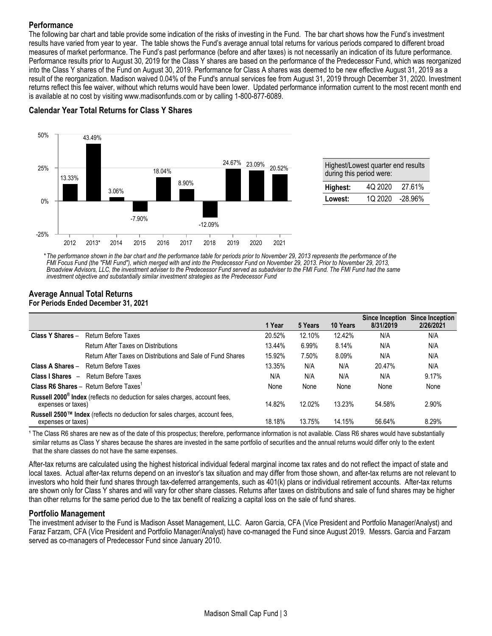# **Performance**

The following bar chart and table provide some indication of the risks of investing in the Fund. The bar chart shows how the Fund's investment results have varied from year to year. The table shows the Fund's average annual total returns for various periods compared to different broad measures of market performance. The Fund's past performance (before and after taxes) is not necessarily an indication of its future performance. Performance results prior to August 30, 2019 for the Class Y shares are based on the performance of the Predecessor Fund, which was reorganized into the Class Y shares of the Fund on August 30, 2019. Performance for Class A shares was deemed to be new effective August 31, 2019 as a result of the reorganization. Madison waived 0.04% of the Fund's annual services fee from August 31, 2019 through December 31, 2020. Investment returns reflect this fee waiver, without which returns would have been lower. Updated performance information current to the most recent month end is available at no cost by visiting www.madisonfunds.com or by calling 1-800-877-6089.

# **Calendar Year Total Returns for Class Y Shares**



*\* The performance shown in the bar chart and the performance table for periods prior to November 29, 2013 represents the performance of the FMI Focus Fund (the "FMI Fund"), which merged with and into the Predecessor Fund on November 29, 2013. Prior to November 29, 2013, Broadview Advisors, LLC, the investment adviser to the Predecessor Fund served as subadviser to the FMI Fund. The FMI Fund had the same investment objective and substantially similar investment strategies as the Predecessor Fund*

### **Average Annual Total Returns For Periods Ended December 31, 2021**

|                    |                                                                                         | 1 Year | 5 Years | 10 Years | Since Inception<br>8/31/2019 | <b>Since Inception</b><br>2/26/2021 |
|--------------------|-----------------------------------------------------------------------------------------|--------|---------|----------|------------------------------|-------------------------------------|
| Class Y Shares -   | Return Before Taxes                                                                     | 20.52% | 12.10%  | 12.42%   | N/A                          | N/A                                 |
|                    | Return After Taxes on Distributions                                                     | 13.44% | 6.99%   | 8.14%    | N/A                          | N/A                                 |
|                    | Return After Taxes on Distributions and Sale of Fund Shares                             | 15.92% | 7.50%   | 8.09%    | N/A                          | N/A                                 |
| Class A Shares -   | Return Before Taxes                                                                     | 13.35% | N/A     | N/A      | 20.47%                       | N/A                                 |
|                    | <b>Class I Shares - Return Before Taxes</b>                                             | N/A    | N/A     | N/A      | N/A                          | 9.17%                               |
|                    | <b>Class R6 Shares - Return Before Taxes</b> <sup>1</sup>                               | None   | None    | None     | None                         | None                                |
| expenses or taxes) | Russell 2000 <sup>®</sup> Index (reflects no deduction for sales charges, account fees, | 14.82% | 12.02%  | 13.23%   | 54.58%                       | 2.90%                               |
| expenses or taxes) | Russell 2500™ Index (reflects no deduction for sales charges, account fees,             | 18.18% | 13.75%  | 14.15%   | 56.64%                       | 8.29%                               |

<sup>1</sup> The Class R6 shares are new as of the date of this prospectus; therefore, performance information is not available. Class R6 shares would have substantially similar returns as Class Y shares because the shares are invested in the same portfolio of securities and the annual returns would differ only to the extent that the share classes do not have the same expenses.

After-tax returns are calculated using the highest historical individual federal marginal income tax rates and do not reflect the impact of state and local taxes. Actual after-tax returns depend on an investor's tax situation and may differ from those shown, and after-tax returns are not relevant to investors who hold their fund shares through tax-deferred arrangements, such as 401(k) plans or individual retirement accounts. After-tax returns are shown only for Class Y shares and will vary for other share classes. Returns after taxes on distributions and sale of fund shares may be higher than other returns for the same period due to the tax benefit of realizing a capital loss on the sale of fund shares.

## **Portfolio Management**

The investment adviser to the Fund is Madison Asset Management, LLC. Aaron Garcia, CFA (Vice President and Portfolio Manager/Analyst) and Faraz Farzam, CFA (Vice President and Portfolio Manager/Analyst) have co-managed the Fund since August 2019. Messrs. Garcia and Farzam served as co-managers of Predecessor Fund since January 2010.